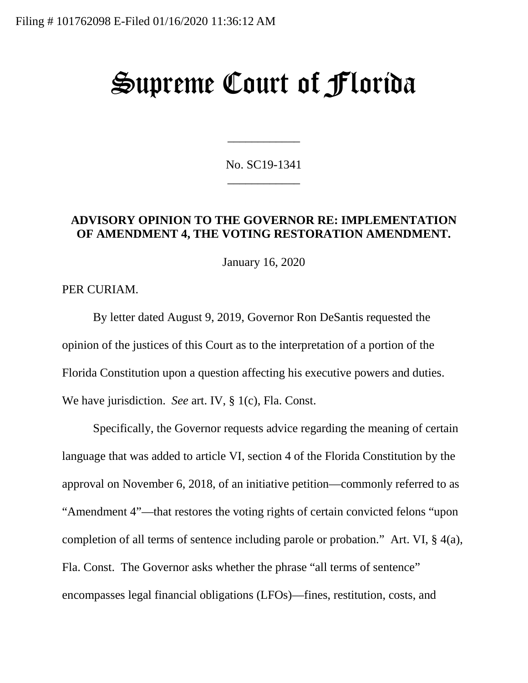# Supreme Court of Florida

No. SC19-1341 \_\_\_\_\_\_\_\_\_\_\_\_

\_\_\_\_\_\_\_\_\_\_\_\_

### **ADVISORY OPINION TO THE GOVERNOR RE: IMPLEMENTATION OF AMENDMENT 4, THE VOTING RESTORATION AMENDMENT.**

January 16, 2020

PER CURIAM.

By letter dated August 9, 2019, Governor Ron DeSantis requested the opinion of the justices of this Court as to the interpretation of a portion of the Florida Constitution upon a question affecting his executive powers and duties. We have jurisdiction. *See* art. IV, § 1(c), Fla. Const.

Specifically, the Governor requests advice regarding the meaning of certain language that was added to article VI, section 4 of the Florida Constitution by the approval on November 6, 2018, of an initiative petition—commonly referred to as "Amendment 4"—that restores the voting rights of certain convicted felons "upon completion of all terms of sentence including parole or probation." Art. VI, § 4(a), Fla. Const. The Governor asks whether the phrase "all terms of sentence" encompasses legal financial obligations (LFOs)—fines, restitution, costs, and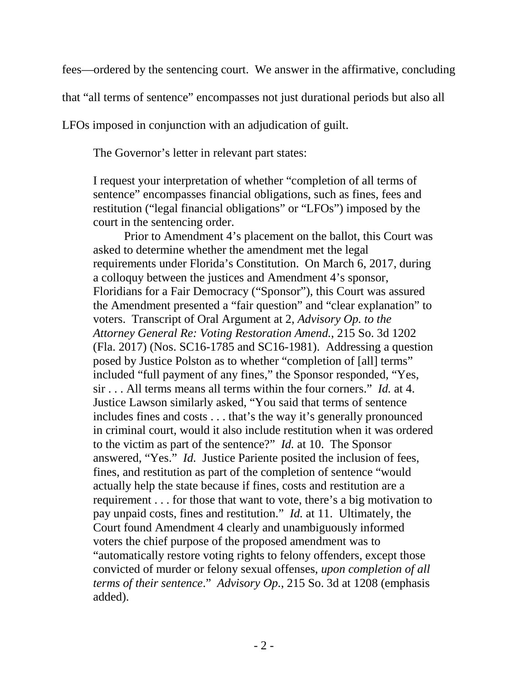fees—ordered by the sentencing court. We answer in the affirmative, concluding

that "all terms of sentence" encompasses not just durational periods but also all

LFOs imposed in conjunction with an adjudication of guilt.

The Governor's letter in relevant part states:

I request your interpretation of whether "completion of all terms of sentence" encompasses financial obligations, such as fines, fees and restitution ("legal financial obligations" or "LFOs") imposed by the court in the sentencing order.

Prior to Amendment 4's placement on the ballot, this Court was asked to determine whether the amendment met the legal requirements under Florida's Constitution. On March 6, 2017, during a colloquy between the justices and Amendment 4's sponsor, Floridians for a Fair Democracy ("Sponsor"), this Court was assured the Amendment presented a "fair question" and "clear explanation" to voters. Transcript of Oral Argument at 2, *Advisory Op. to the Attorney General Re: Voting Restoration Amend.*, 215 So. 3d 1202 (Fla. 2017) (Nos. SC16-1785 and SC16-1981). Addressing a question posed by Justice Polston as to whether "completion of [all] terms" included "full payment of any fines," the Sponsor responded, "Yes, sir . . . All terms means all terms within the four corners." *Id.* at 4. Justice Lawson similarly asked, "You said that terms of sentence includes fines and costs . . . that's the way it's generally pronounced in criminal court, would it also include restitution when it was ordered to the victim as part of the sentence?" *Id.* at 10. The Sponsor answered, "Yes." *Id.* Justice Pariente posited the inclusion of fees, fines, and restitution as part of the completion of sentence "would actually help the state because if fines, costs and restitution are a requirement . . . for those that want to vote, there's a big motivation to pay unpaid costs, fines and restitution." *Id.* at 11. Ultimately, the Court found Amendment 4 clearly and unambiguously informed voters the chief purpose of the proposed amendment was to "automatically restore voting rights to felony offenders, except those convicted of murder or felony sexual offenses, *upon completion of all terms of their sentence*." *Advisory Op.*, 215 So. 3d at 1208 (emphasis added).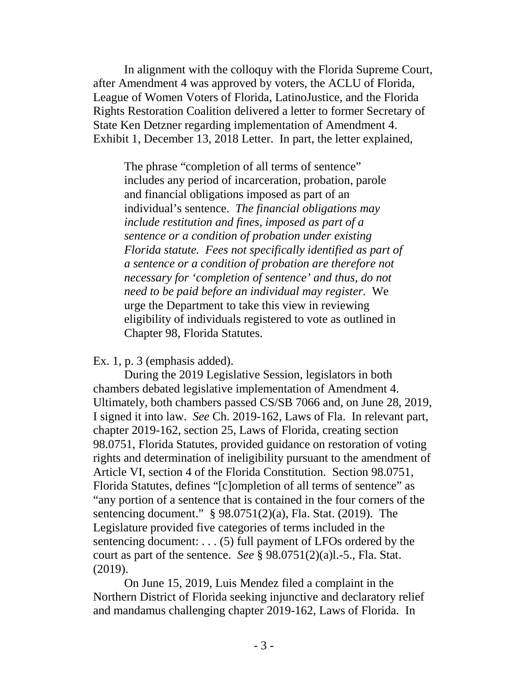In alignment with the colloquy with the Florida Supreme Court, after Amendment 4 was approved by voters, the ACLU of Florida, League of Women Voters of Florida, LatinoJustice, and the Florida Rights Restoration Coalition delivered a letter to former Secretary of State Ken Detzner regarding implementation of Amendment 4. Exhibit 1, December 13, 2018 Letter. In part, the letter explained,

The phrase "completion of all terms of sentence" includes any period of incarceration, probation, parole and financial obligations imposed as part of an individual's sentence. *The financial obligations may include restitution and fines, imposed as part of a sentence or a condition of probation under existing Florida statute. Fees not specifically identified as part of a sentence or a condition of probation are therefore not necessary for 'completion of sentence' and thus, do not need to be paid before an individual may register.* We urge the Department to take this view in reviewing eligibility of individuals registered to vote as outlined in Chapter 98, Florida Statutes.

Ex. 1, p. 3 (emphasis added).

During the 2019 Legislative Session, legislators in both chambers debated legislative implementation of Amendment 4. Ultimately, both chambers passed CS/SB 7066 and, on June 28, 2019, I signed it into law. *See* Ch. 2019-162, Laws of Fla. In relevant part, chapter 2019-162, section 25, Laws of Florida, creating section 98.0751, Florida Statutes, provided guidance on restoration of voting rights and determination of ineligibility pursuant to the amendment of Article VI, section 4 of the Florida Constitution. Section 98.0751, Florida Statutes, defines "[c]ompletion of all terms of sentence" as "any portion of a sentence that is contained in the four corners of the sentencing document." § 98.0751(2)(a), Fla. Stat. (2019). The Legislature provided five categories of terms included in the sentencing document: . . . (5) full payment of LFOs ordered by the court as part of the sentence. *See* § 98.0751(2)(a)l.-5., Fla. Stat. (2019).

On June 15, 2019, Luis Mendez filed a complaint in the Northern District of Florida seeking injunctive and declaratory relief and mandamus challenging chapter 2019-162, Laws of Florida. In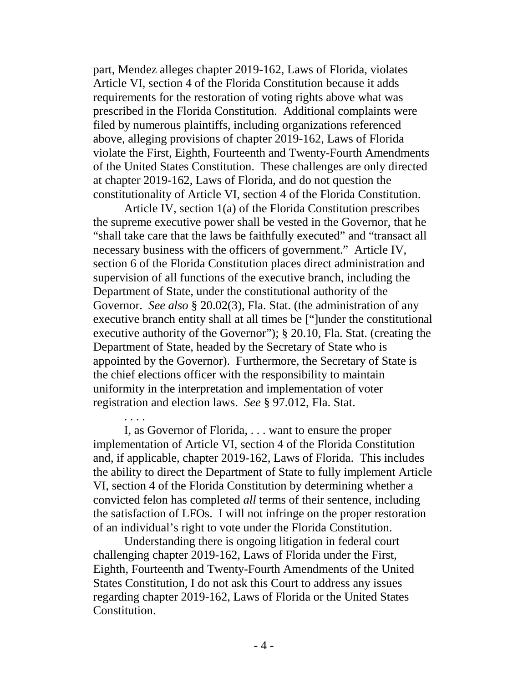part, Mendez alleges chapter 2019-162, Laws of Florida, violates Article VI, section 4 of the Florida Constitution because it adds requirements for the restoration of voting rights above what was prescribed in the Florida Constitution. Additional complaints were filed by numerous plaintiffs, including organizations referenced above, alleging provisions of chapter 2019-162, Laws of Florida violate the First, Eighth, Fourteenth and Twenty-Fourth Amendments of the United States Constitution. These challenges are only directed at chapter 2019-162, Laws of Florida, and do not question the constitutionality of Article VI, section 4 of the Florida Constitution.

Article IV, section 1(a) of the Florida Constitution prescribes the supreme executive power shall be vested in the Governor, that he "shall take care that the laws be faithfully executed" and "transact all necessary business with the officers of government." Article IV, section 6 of the Florida Constitution places direct administration and supervision of all functions of the executive branch, including the Department of State, under the constitutional authority of the Governor. *See also* § 20.02(3), Fla. Stat. (the administration of any executive branch entity shall at all times be ["]under the constitutional executive authority of the Governor"); § 20.10, Fla. Stat. (creating the Department of State, headed by the Secretary of State who is appointed by the Governor). Furthermore, the Secretary of State is the chief elections officer with the responsibility to maintain uniformity in the interpretation and implementation of voter registration and election laws. *See* § 97.012, Fla. Stat.

I, as Governor of Florida, . . . want to ensure the proper implementation of Article VI, section 4 of the Florida Constitution and, if applicable, chapter 2019-162, Laws of Florida. This includes the ability to direct the Department of State to fully implement Article VI, section 4 of the Florida Constitution by determining whether a convicted felon has completed *all* terms of their sentence, including the satisfaction of LFOs. I will not infringe on the proper restoration of an individual's right to vote under the Florida Constitution.

. . . .

Understanding there is ongoing litigation in federal court challenging chapter 2019-162, Laws of Florida under the First, Eighth, Fourteenth and Twenty-Fourth Amendments of the United States Constitution, I do not ask this Court to address any issues regarding chapter 2019-162, Laws of Florida or the United States Constitution.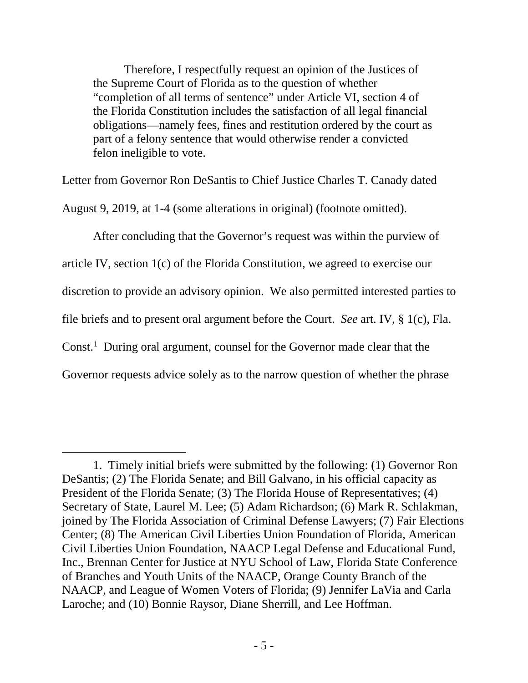Therefore, I respectfully request an opinion of the Justices of the Supreme Court of Florida as to the question of whether "completion of all terms of sentence" under Article VI, section 4 of the Florida Constitution includes the satisfaction of all legal financial obligations—namely fees, fines and restitution ordered by the court as part of a felony sentence that would otherwise render a convicted felon ineligible to vote.

Letter from Governor Ron DeSantis to Chief Justice Charles T. Canady dated

August 9, 2019, at 1-4 (some alterations in original) (footnote omitted).

After concluding that the Governor's request was within the purview of article IV, section 1(c) of the Florida Constitution, we agreed to exercise our discretion to provide an advisory opinion. We also permitted interested parties to file briefs and to present oral argument before the Court. *See* art. IV, § 1(c), Fla. Const.<sup>[1](#page-4-0)</sup> During oral argument, counsel for the Governor made clear that the Governor requests advice solely as to the narrow question of whether the phrase

 $\overline{a}$ 

<span id="page-4-0"></span><sup>1.</sup> Timely initial briefs were submitted by the following: (1) Governor Ron DeSantis; (2) The Florida Senate; and Bill Galvano, in his official capacity as President of the Florida Senate; (3) The Florida House of Representatives; (4) Secretary of State, Laurel M. Lee; (5) Adam Richardson; (6) Mark R. Schlakman, joined by The Florida Association of Criminal Defense Lawyers; (7) Fair Elections Center; (8) The American Civil Liberties Union Foundation of Florida, American Civil Liberties Union Foundation, NAACP Legal Defense and Educational Fund, Inc., Brennan Center for Justice at NYU School of Law, Florida State Conference of Branches and Youth Units of the NAACP, Orange County Branch of the NAACP, and League of Women Voters of Florida; (9) Jennifer LaVia and Carla Laroche; and (10) Bonnie Raysor, Diane Sherrill, and Lee Hoffman.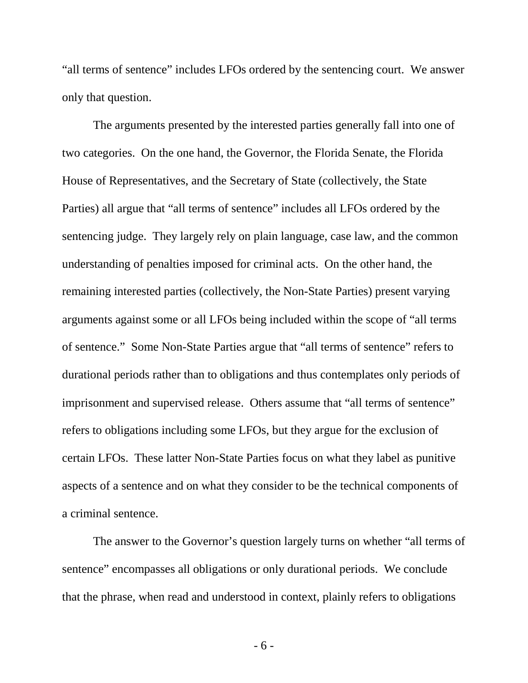"all terms of sentence" includes LFOs ordered by the sentencing court. We answer only that question.

The arguments presented by the interested parties generally fall into one of two categories. On the one hand, the Governor, the Florida Senate, the Florida House of Representatives, and the Secretary of State (collectively, the State Parties) all argue that "all terms of sentence" includes all LFOs ordered by the sentencing judge. They largely rely on plain language, case law, and the common understanding of penalties imposed for criminal acts. On the other hand, the remaining interested parties (collectively, the Non-State Parties) present varying arguments against some or all LFOs being included within the scope of "all terms of sentence." Some Non-State Parties argue that "all terms of sentence" refers to durational periods rather than to obligations and thus contemplates only periods of imprisonment and supervised release. Others assume that "all terms of sentence" refers to obligations including some LFOs, but they argue for the exclusion of certain LFOs. These latter Non-State Parties focus on what they label as punitive aspects of a sentence and on what they consider to be the technical components of a criminal sentence.

The answer to the Governor's question largely turns on whether "all terms of sentence" encompasses all obligations or only durational periods. We conclude that the phrase, when read and understood in context, plainly refers to obligations

- 6 -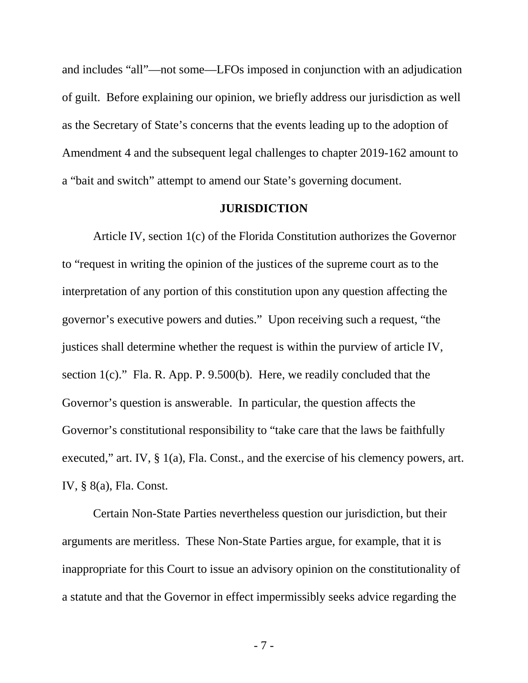and includes "all"—not some—LFOs imposed in conjunction with an adjudication of guilt. Before explaining our opinion, we briefly address our jurisdiction as well as the Secretary of State's concerns that the events leading up to the adoption of Amendment 4 and the subsequent legal challenges to chapter 2019-162 amount to a "bait and switch" attempt to amend our State's governing document.

#### **JURISDICTION**

Article IV, section 1(c) of the Florida Constitution authorizes the Governor to "request in writing the opinion of the justices of the supreme court as to the interpretation of any portion of this constitution upon any question affecting the governor's executive powers and duties." Upon receiving such a request, "the justices shall determine whether the request is within the purview of article IV, section  $1(c)$ ." Fla. R. App. P. 9.500(b). Here, we readily concluded that the Governor's question is answerable. In particular, the question affects the Governor's constitutional responsibility to "take care that the laws be faithfully executed," art. IV, § 1(a), Fla. Const., and the exercise of his clemency powers, art. IV, § 8(a), Fla. Const.

Certain Non-State Parties nevertheless question our jurisdiction, but their arguments are meritless. These Non-State Parties argue, for example, that it is inappropriate for this Court to issue an advisory opinion on the constitutionality of a statute and that the Governor in effect impermissibly seeks advice regarding the

- 7 -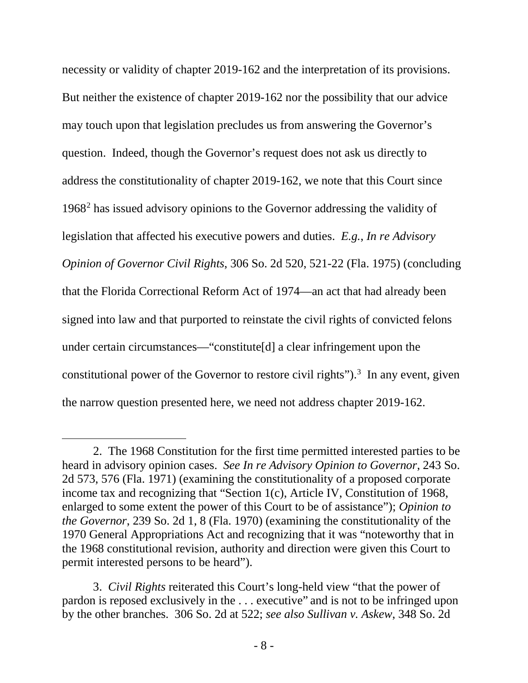necessity or validity of chapter 2019-162 and the interpretation of its provisions. But neither the existence of chapter 2019-162 nor the possibility that our advice may touch upon that legislation precludes us from answering the Governor's question. Indeed, though the Governor's request does not ask us directly to address the constitutionality of chapter 2019-162, we note that this Court since 1968[2](#page-7-0) has issued advisory opinions to the Governor addressing the validity of legislation that affected his executive powers and duties. *E.g.*, *In re Advisory Opinion of Governor Civil Rights*, 306 So. 2d 520, 521-22 (Fla. 1975) (concluding that the Florida Correctional Reform Act of 1974—an act that had already been signed into law and that purported to reinstate the civil rights of convicted felons under certain circumstances—"constitute[d] a clear infringement upon the constitutional power of the Governor to restore civil rights" $)$ .<sup>[3](#page-7-1)</sup> In any event, given the narrow question presented here, we need not address chapter 2019-162.

 $\overline{a}$ 

<span id="page-7-0"></span><sup>2.</sup> The 1968 Constitution for the first time permitted interested parties to be heard in advisory opinion cases. *See In re Advisory Opinion to Governor*, 243 So. 2d 573, 576 (Fla. 1971) (examining the constitutionality of a proposed corporate income tax and recognizing that "Section 1(c), Article IV, Constitution of 1968, enlarged to some extent the power of this Court to be of assistance"); *Opinion to the Governor*, 239 So. 2d 1, 8 (Fla. 1970) (examining the constitutionality of the 1970 General Appropriations Act and recognizing that it was "noteworthy that in the 1968 constitutional revision, authority and direction were given this Court to permit interested persons to be heard").

<span id="page-7-1"></span><sup>3.</sup> *Civil Rights* reiterated this Court's long-held view "that the power of pardon is reposed exclusively in the . . . executive" and is not to be infringed upon by the other branches. 306 So. 2d at 522; *see also Sullivan v. Askew*, 348 So. 2d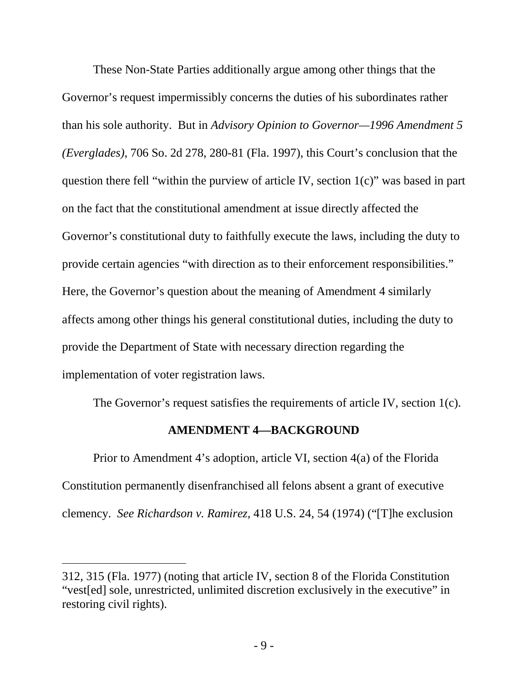These Non-State Parties additionally argue among other things that the Governor's request impermissibly concerns the duties of his subordinates rather than his sole authority. But in *Advisory Opinion to Governor—1996 Amendment 5 (Everglades)*, 706 So. 2d 278, 280-81 (Fla. 1997), this Court's conclusion that the question there fell "within the purview of article IV, section 1(c)" was based in part on the fact that the constitutional amendment at issue directly affected the Governor's constitutional duty to faithfully execute the laws, including the duty to provide certain agencies "with direction as to their enforcement responsibilities." Here, the Governor's question about the meaning of Amendment 4 similarly affects among other things his general constitutional duties, including the duty to provide the Department of State with necessary direction regarding the implementation of voter registration laws.

The Governor's request satisfies the requirements of article IV, section 1(c).

## **AMENDMENT 4—BACKGROUND**

Prior to Amendment 4's adoption, article VI, section 4(a) of the Florida Constitution permanently disenfranchised all felons absent a grant of executive clemency. *See Richardson v. Ramirez*, 418 U.S. 24, 54 (1974) ("[T]he exclusion

 $\overline{a}$ 

<sup>312, 315 (</sup>Fla. 1977) (noting that article IV, section 8 of the Florida Constitution "vest[ed] sole, unrestricted, unlimited discretion exclusively in the executive" in restoring civil rights).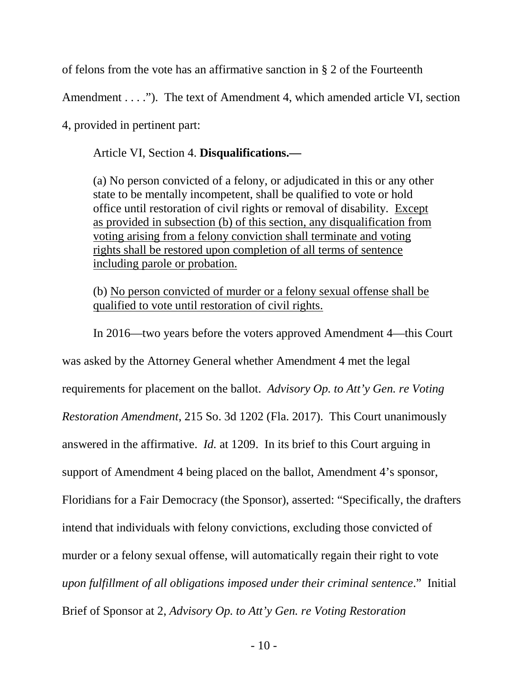of felons from the vote has an affirmative sanction in § 2 of the Fourteenth

Amendment . . . ."). The text of Amendment 4, which amended article VI, section

4, provided in pertinent part:

Article VI, Section 4. **Disqualifications.—**

(a) No person convicted of a felony, or adjudicated in this or any other state to be mentally incompetent, shall be qualified to vote or hold office until restoration of civil rights or removal of disability. Except as provided in subsection (b) of this section, any disqualification from voting arising from a felony conviction shall terminate and voting rights shall be restored upon completion of all terms of sentence including parole or probation.

(b) No person convicted of murder or a felony sexual offense shall be qualified to vote until restoration of civil rights.

In 2016—two years before the voters approved Amendment 4—this Court was asked by the Attorney General whether Amendment 4 met the legal requirements for placement on the ballot. *Advisory Op. to Att'y Gen. re Voting Restoration Amendment*, 215 So. 3d 1202 (Fla. 2017). This Court unanimously answered in the affirmative. *Id.* at 1209. In its brief to this Court arguing in support of Amendment 4 being placed on the ballot, Amendment 4's sponsor, Floridians for a Fair Democracy (the Sponsor), asserted: "Specifically, the drafters intend that individuals with felony convictions, excluding those convicted of murder or a felony sexual offense, will automatically regain their right to vote *upon fulfillment of all obligations imposed under their criminal sentence*." Initial Brief of Sponsor at 2, *Advisory Op. to Att'y Gen. re Voting Restoration*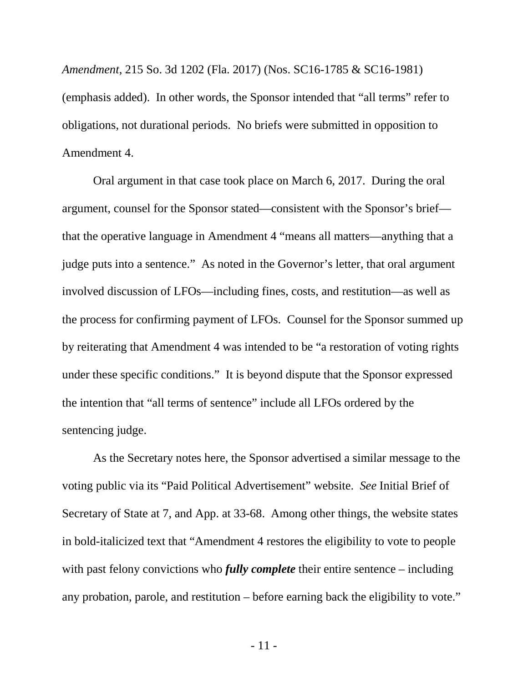*Amendment*, 215 So. 3d 1202 (Fla. 2017) (Nos. SC16-1785 & SC16-1981) (emphasis added). In other words, the Sponsor intended that "all terms" refer to obligations, not durational periods. No briefs were submitted in opposition to Amendment 4.

Oral argument in that case took place on March 6, 2017. During the oral argument, counsel for the Sponsor stated—consistent with the Sponsor's brief that the operative language in Amendment 4 "means all matters—anything that a judge puts into a sentence." As noted in the Governor's letter, that oral argument involved discussion of LFOs—including fines, costs, and restitution—as well as the process for confirming payment of LFOs. Counsel for the Sponsor summed up by reiterating that Amendment 4 was intended to be "a restoration of voting rights under these specific conditions." It is beyond dispute that the Sponsor expressed the intention that "all terms of sentence" include all LFOs ordered by the sentencing judge.

As the Secretary notes here, the Sponsor advertised a similar message to the voting public via its "Paid Political Advertisement" website. *See* Initial Brief of Secretary of State at 7, and App. at 33-68. Among other things, the website states in bold-italicized text that "Amendment 4 restores the eligibility to vote to people with past felony convictions who *fully complete* their entire sentence – including any probation, parole, and restitution – before earning back the eligibility to vote."

- 11 -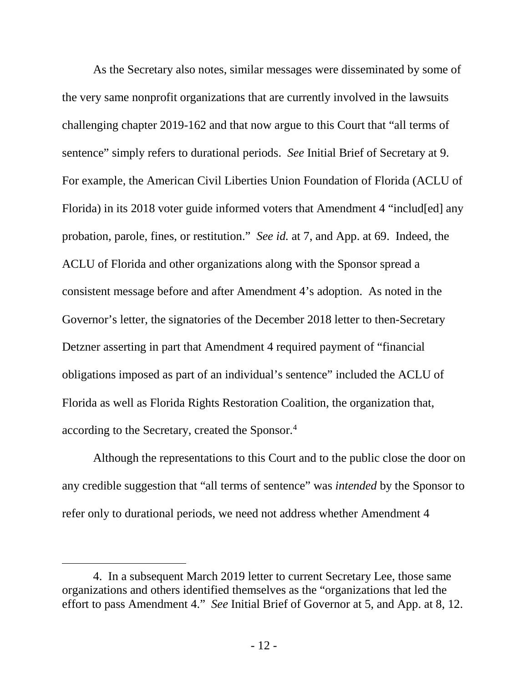As the Secretary also notes, similar messages were disseminated by some of the very same nonprofit organizations that are currently involved in the lawsuits challenging chapter 2019-162 and that now argue to this Court that "all terms of sentence" simply refers to durational periods. *See* Initial Brief of Secretary at 9. For example, the American Civil Liberties Union Foundation of Florida (ACLU of Florida) in its 2018 voter guide informed voters that Amendment 4 "includ[ed] any probation, parole, fines, or restitution." *See id.* at 7, and App. at 69. Indeed, the ACLU of Florida and other organizations along with the Sponsor spread a consistent message before and after Amendment 4's adoption. As noted in the Governor's letter, the signatories of the December 2018 letter to then-Secretary Detzner asserting in part that Amendment 4 required payment of "financial obligations imposed as part of an individual's sentence" included the ACLU of Florida as well as Florida Rights Restoration Coalition, the organization that, according to the Secretary, created the Sponsor. [4](#page-11-0)

Although the representations to this Court and to the public close the door on any credible suggestion that "all terms of sentence" was *intended* by the Sponsor to refer only to durational periods, we need not address whether Amendment 4

 $\overline{a}$ 

<span id="page-11-0"></span><sup>4.</sup> In a subsequent March 2019 letter to current Secretary Lee, those same organizations and others identified themselves as the "organizations that led the effort to pass Amendment 4." *See* Initial Brief of Governor at 5, and App. at 8, 12.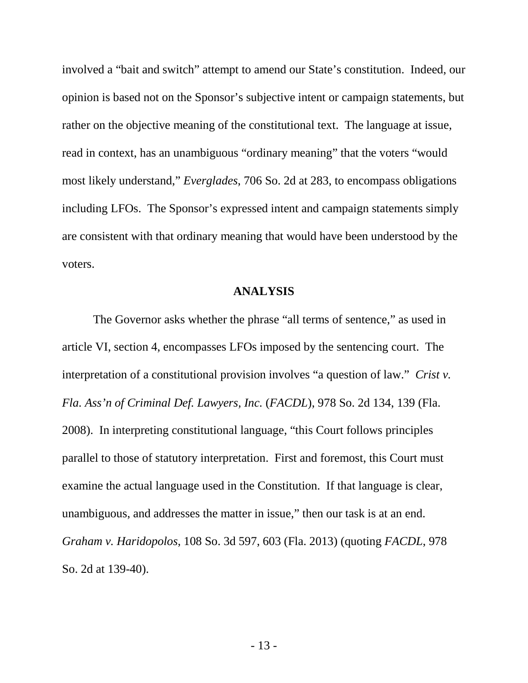involved a "bait and switch" attempt to amend our State's constitution. Indeed, our opinion is based not on the Sponsor's subjective intent or campaign statements, but rather on the objective meaning of the constitutional text. The language at issue, read in context, has an unambiguous "ordinary meaning" that the voters "would most likely understand," *Everglades*, 706 So. 2d at 283, to encompass obligations including LFOs. The Sponsor's expressed intent and campaign statements simply are consistent with that ordinary meaning that would have been understood by the voters.

#### **ANALYSIS**

The Governor asks whether the phrase "all terms of sentence," as used in article VI, section 4, encompasses LFOs imposed by the sentencing court. The interpretation of a constitutional provision involves "a question of law." *Crist v. Fla. Ass'n of Criminal Def. Lawyers, Inc.* (*FACDL*), 978 So. 2d 134, 139 (Fla. 2008). In interpreting constitutional language, "this Court follows principles parallel to those of statutory interpretation. First and foremost, this Court must examine the actual language used in the Constitution. If that language is clear, unambiguous, and addresses the matter in issue," then our task is at an end. *Graham v. Haridopolos*, 108 So. 3d 597, 603 (Fla. 2013) (quoting *FACDL*, 978 So. 2d at 139-40).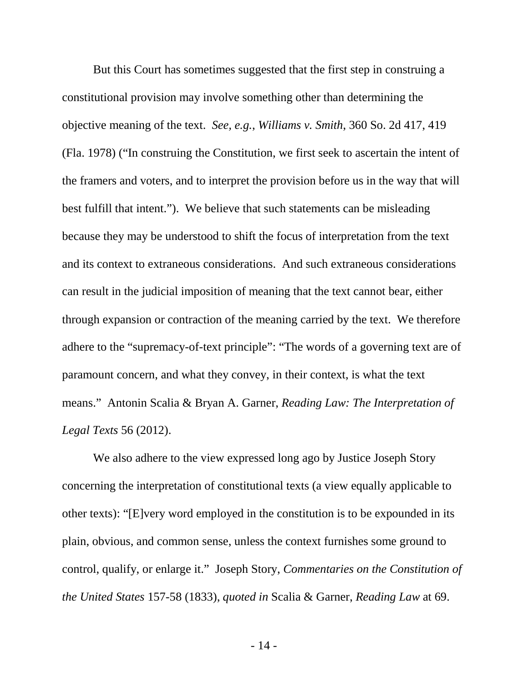But this Court has sometimes suggested that the first step in construing a constitutional provision may involve something other than determining the objective meaning of the text. *See, e.g.*, *Williams v. Smith*, 360 So. 2d 417, 419 (Fla. 1978) ("In construing the Constitution, we first seek to ascertain the intent of the framers and voters, and to interpret the provision before us in the way that will best fulfill that intent."). We believe that such statements can be misleading because they may be understood to shift the focus of interpretation from the text and its context to extraneous considerations. And such extraneous considerations can result in the judicial imposition of meaning that the text cannot bear, either through expansion or contraction of the meaning carried by the text. We therefore adhere to the "supremacy-of-text principle": "The words of a governing text are of paramount concern, and what they convey, in their context, is what the text means." Antonin Scalia & Bryan A. Garner, *Reading Law: The Interpretation of Legal Texts* 56 (2012).

We also adhere to the view expressed long ago by Justice Joseph Story concerning the interpretation of constitutional texts (a view equally applicable to other texts): "[E]very word employed in the constitution is to be expounded in its plain, obvious, and common sense, unless the context furnishes some ground to control, qualify, or enlarge it." Joseph Story, *Commentaries on the Constitution of the United States* 157-58 (1833), *quoted in* Scalia & Garner, *Reading Law* at 69.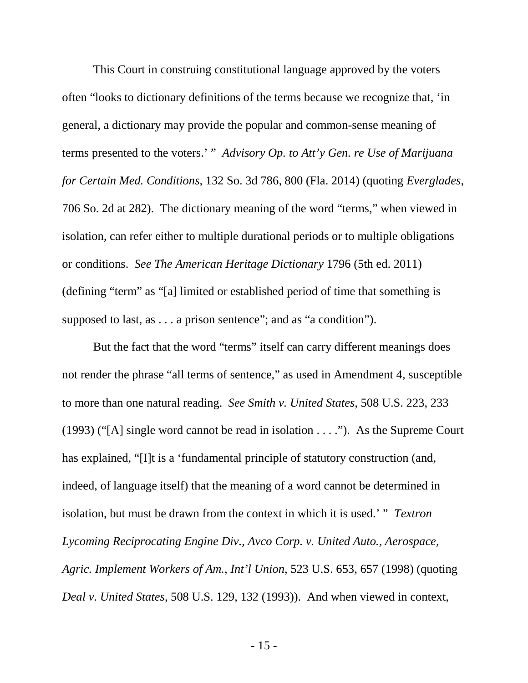This Court in construing constitutional language approved by the voters often "looks to dictionary definitions of the terms because we recognize that, 'in general, a dictionary may provide the popular and common-sense meaning of terms presented to the voters.' " *Advisory Op. to Att'y Gen. re Use of Marijuana for Certain Med. Conditions*, 132 So. 3d 786, 800 (Fla. 2014) (quoting *Everglades*, 706 So. 2d at 282). The dictionary meaning of the word "terms," when viewed in isolation, can refer either to multiple durational periods or to multiple obligations or conditions. *See The American Heritage Dictionary* 1796 (5th ed. 2011) (defining "term" as "[a] limited or established period of time that something is supposed to last, as . . . a prison sentence"; and as "a condition").

But the fact that the word "terms" itself can carry different meanings does not render the phrase "all terms of sentence," as used in Amendment 4, susceptible to more than one natural reading. *See Smith v. United States*, 508 U.S. 223, 233 (1993) ("[A] single word cannot be read in isolation . . . ."). As the Supreme Court has explained, "II is a 'fundamental principle of statutory construction (and, indeed, of language itself) that the meaning of a word cannot be determined in isolation, but must be drawn from the context in which it is used.' " *Textron Lycoming Reciprocating Engine Div., Avco Corp. v. United Auto., Aerospace, Agric. Implement Workers of Am., Int'l Union*, 523 U.S. 653, 657 (1998) (quoting *Deal v. United States*, 508 U.S. 129, 132 (1993)). And when viewed in context,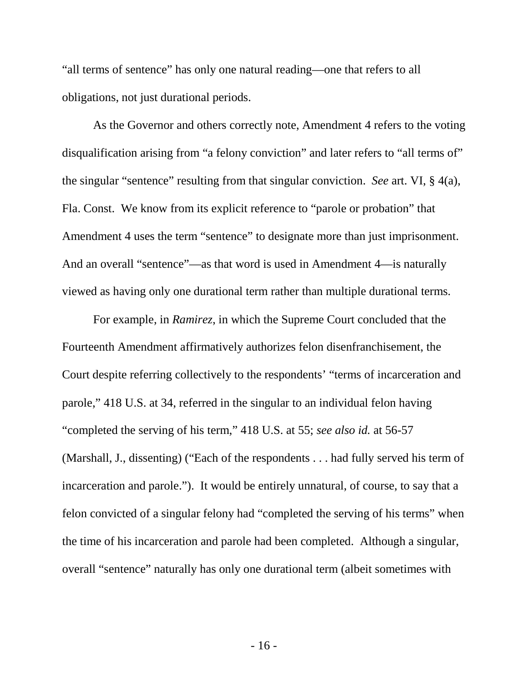"all terms of sentence" has only one natural reading—one that refers to all obligations, not just durational periods.

As the Governor and others correctly note, Amendment 4 refers to the voting disqualification arising from "a felony conviction" and later refers to "all terms of" the singular "sentence" resulting from that singular conviction. *See* art. VI, § 4(a), Fla. Const. We know from its explicit reference to "parole or probation" that Amendment 4 uses the term "sentence" to designate more than just imprisonment. And an overall "sentence"—as that word is used in Amendment 4—is naturally viewed as having only one durational term rather than multiple durational terms.

For example, in *Ramirez*, in which the Supreme Court concluded that the Fourteenth Amendment affirmatively authorizes felon disenfranchisement, the Court despite referring collectively to the respondents' "terms of incarceration and parole," 418 U.S. at 34, referred in the singular to an individual felon having "completed the serving of his term," 418 U.S. at 55; *see also id.* at 56-57 (Marshall, J., dissenting) ("Each of the respondents . . . had fully served his term of incarceration and parole."). It would be entirely unnatural, of course, to say that a felon convicted of a singular felony had "completed the serving of his terms" when the time of his incarceration and parole had been completed. Although a singular, overall "sentence" naturally has only one durational term (albeit sometimes with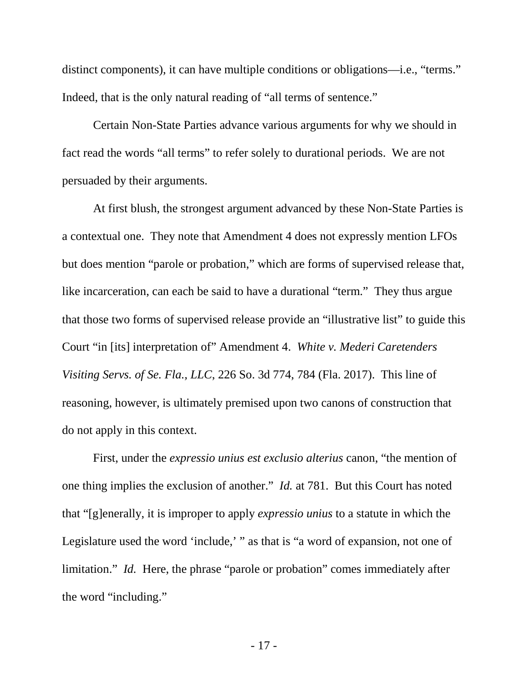distinct components), it can have multiple conditions or obligations—i.e., "terms." Indeed, that is the only natural reading of "all terms of sentence."

Certain Non-State Parties advance various arguments for why we should in fact read the words "all terms" to refer solely to durational periods. We are not persuaded by their arguments.

At first blush, the strongest argument advanced by these Non-State Parties is a contextual one. They note that Amendment 4 does not expressly mention LFOs but does mention "parole or probation," which are forms of supervised release that, like incarceration, can each be said to have a durational "term." They thus argue that those two forms of supervised release provide an "illustrative list" to guide this Court "in [its] interpretation of" Amendment 4. *White v. Mederi Caretenders Visiting Servs. of Se. Fla., LLC*, 226 So. 3d 774, 784 (Fla. 2017). This line of reasoning, however, is ultimately premised upon two canons of construction that do not apply in this context.

First, under the *expressio unius est exclusio alterius* canon, "the mention of one thing implies the exclusion of another." *Id.* at 781. But this Court has noted that "[g]enerally, it is improper to apply *expressio unius* to a statute in which the Legislature used the word 'include,' " as that is "a word of expansion, not one of limitation." *Id.* Here, the phrase "parole or probation" comes immediately after the word "including."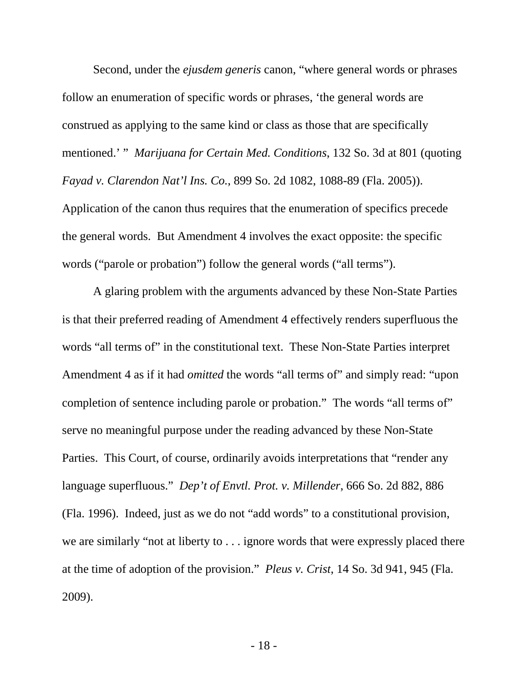Second, under the *ejusdem generis* canon, "where general words or phrases follow an enumeration of specific words or phrases, 'the general words are construed as applying to the same kind or class as those that are specifically mentioned.' " *Marijuana for Certain Med. Conditions*, 132 So. 3d at 801 (quoting *Fayad v. Clarendon Nat'l Ins. Co.*, 899 So. 2d 1082, 1088-89 (Fla. 2005)). Application of the canon thus requires that the enumeration of specifics precede the general words. But Amendment 4 involves the exact opposite: the specific words ("parole or probation") follow the general words ("all terms").

A glaring problem with the arguments advanced by these Non-State Parties is that their preferred reading of Amendment 4 effectively renders superfluous the words "all terms of" in the constitutional text. These Non-State Parties interpret Amendment 4 as if it had *omitted* the words "all terms of" and simply read: "upon completion of sentence including parole or probation." The words "all terms of" serve no meaningful purpose under the reading advanced by these Non-State Parties. This Court, of course, ordinarily avoids interpretations that "render any language superfluous." *Dep't of Envtl. Prot. v. Millender*, 666 So. 2d 882, 886 (Fla. 1996). Indeed, just as we do not "add words" to a constitutional provision, we are similarly "not at liberty to . . . ignore words that were expressly placed there at the time of adoption of the provision." *Pleus v. Crist*, 14 So. 3d 941, 945 (Fla. 2009).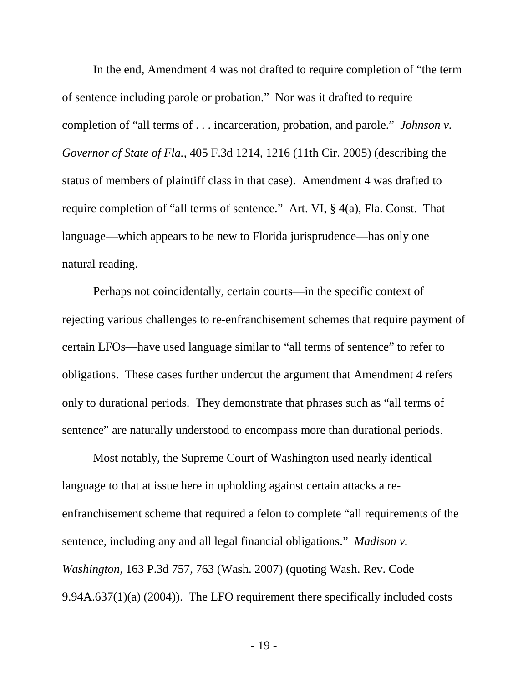In the end, Amendment 4 was not drafted to require completion of "the term of sentence including parole or probation." Nor was it drafted to require completion of "all terms of . . . incarceration, probation, and parole." *Johnson v. Governor of State of Fla.*, 405 F.3d 1214, 1216 (11th Cir. 2005) (describing the status of members of plaintiff class in that case). Amendment 4 was drafted to require completion of "all terms of sentence." Art. VI, § 4(a), Fla. Const. That language—which appears to be new to Florida jurisprudence—has only one natural reading.

Perhaps not coincidentally, certain courts—in the specific context of rejecting various challenges to re-enfranchisement schemes that require payment of certain LFOs—have used language similar to "all terms of sentence" to refer to obligations. These cases further undercut the argument that Amendment 4 refers only to durational periods. They demonstrate that phrases such as "all terms of sentence" are naturally understood to encompass more than durational periods.

Most notably, the Supreme Court of Washington used nearly identical language to that at issue here in upholding against certain attacks a reenfranchisement scheme that required a felon to complete "all requirements of the sentence, including any and all legal financial obligations." *Madison v. Washington*, 163 P.3d 757, 763 (Wash. 2007) (quoting Wash. Rev. Code 9.94A.637(1)(a) (2004)). The LFO requirement there specifically included costs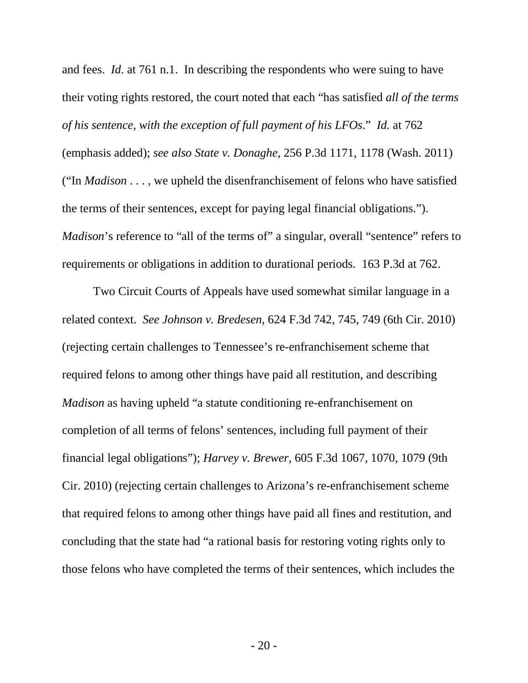and fees. *Id.* at 761 n.1. In describing the respondents who were suing to have their voting rights restored, the court noted that each "has satisfied *all of the terms of his sentence, with the exception of full payment of his LFOs*." *Id.* at 762 (emphasis added); *see also State v. Donaghe*, 256 P.3d 1171, 1178 (Wash. 2011) ("In *Madison* . . . , we upheld the disenfranchisement of felons who have satisfied the terms of their sentences, except for paying legal financial obligations."). *Madison*'s reference to "all of the terms of" a singular, overall "sentence" refers to requirements or obligations in addition to durational periods. 163 P.3d at 762.

Two Circuit Courts of Appeals have used somewhat similar language in a related context. *See Johnson v. Bredesen*, 624 F.3d 742, 745, 749 (6th Cir. 2010) (rejecting certain challenges to Tennessee's re-enfranchisement scheme that required felons to among other things have paid all restitution, and describing *Madison* as having upheld "a statute conditioning re-enfranchisement on completion of all terms of felons' sentences, including full payment of their financial legal obligations"); *Harvey v. Brewer*, 605 F.3d 1067, 1070, 1079 (9th Cir. 2010) (rejecting certain challenges to Arizona's re-enfranchisement scheme that required felons to among other things have paid all fines and restitution, and concluding that the state had "a rational basis for restoring voting rights only to those felons who have completed the terms of their sentences, which includes the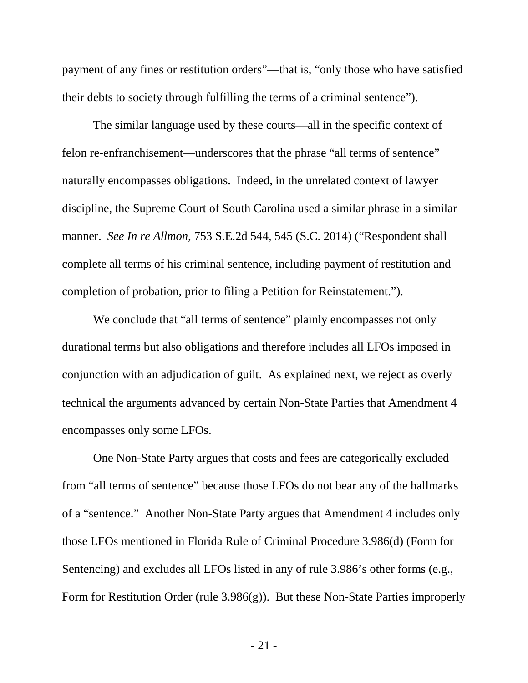payment of any fines or restitution orders"—that is, "only those who have satisfied their debts to society through fulfilling the terms of a criminal sentence").

The similar language used by these courts—all in the specific context of felon re-enfranchisement—underscores that the phrase "all terms of sentence" naturally encompasses obligations. Indeed, in the unrelated context of lawyer discipline, the Supreme Court of South Carolina used a similar phrase in a similar manner. *See In re Allmon*, 753 S.E.2d 544, 545 (S.C. 2014) ("Respondent shall complete all terms of his criminal sentence, including payment of restitution and completion of probation, prior to filing a Petition for Reinstatement.").

We conclude that "all terms of sentence" plainly encompasses not only durational terms but also obligations and therefore includes all LFOs imposed in conjunction with an adjudication of guilt. As explained next, we reject as overly technical the arguments advanced by certain Non-State Parties that Amendment 4 encompasses only some LFOs.

One Non-State Party argues that costs and fees are categorically excluded from "all terms of sentence" because those LFOs do not bear any of the hallmarks of a "sentence." Another Non-State Party argues that Amendment 4 includes only those LFOs mentioned in Florida Rule of Criminal Procedure 3.986(d) (Form for Sentencing) and excludes all LFOs listed in any of rule 3.986's other forms (e.g., Form for Restitution Order (rule 3.986(g)). But these Non-State Parties improperly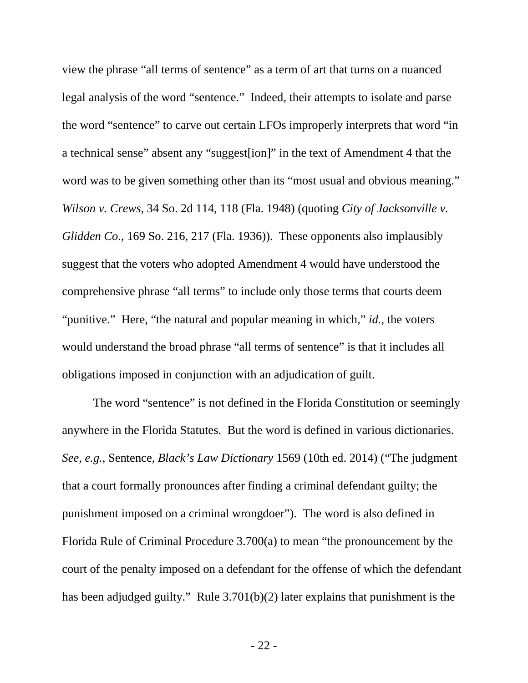view the phrase "all terms of sentence" as a term of art that turns on a nuanced legal analysis of the word "sentence." Indeed, their attempts to isolate and parse the word "sentence" to carve out certain LFOs improperly interprets that word "in a technical sense" absent any "suggest[ion]" in the text of Amendment 4 that the word was to be given something other than its "most usual and obvious meaning." *Wilson v. Crews*, 34 So. 2d 114, 118 (Fla. 1948) (quoting *City of Jacksonville v. Glidden Co.*, 169 So. 216, 217 (Fla. 1936)). These opponents also implausibly suggest that the voters who adopted Amendment 4 would have understood the comprehensive phrase "all terms" to include only those terms that courts deem "punitive." Here, "the natural and popular meaning in which," *id.*, the voters would understand the broad phrase "all terms of sentence" is that it includes all obligations imposed in conjunction with an adjudication of guilt.

The word "sentence" is not defined in the Florida Constitution or seemingly anywhere in the Florida Statutes. But the word is defined in various dictionaries. *See, e.g.*, Sentence, *Black's Law Dictionary* 1569 (10th ed. 2014) ("The judgment that a court formally pronounces after finding a criminal defendant guilty; the punishment imposed on a criminal wrongdoer"). The word is also defined in Florida Rule of Criminal Procedure 3.700(a) to mean "the pronouncement by the court of the penalty imposed on a defendant for the offense of which the defendant has been adjudged guilty." Rule 3.701(b)(2) later explains that punishment is the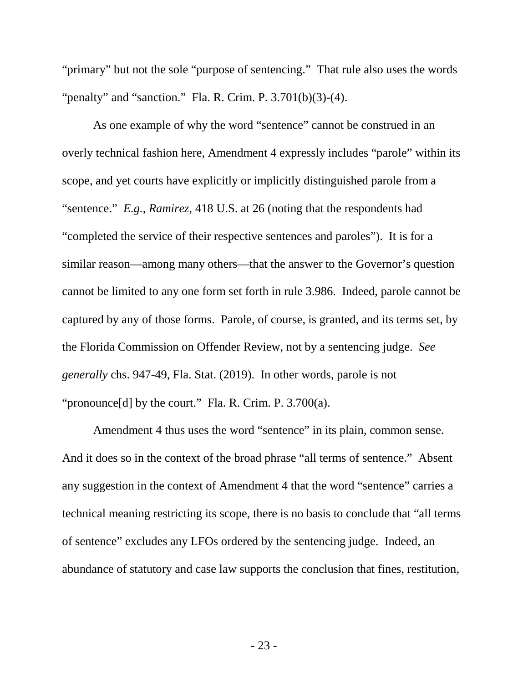"primary" but not the sole "purpose of sentencing." That rule also uses the words "penalty" and "sanction." Fla. R. Crim. P. 3.701(b)(3)-(4).

As one example of why the word "sentence" cannot be construed in an overly technical fashion here, Amendment 4 expressly includes "parole" within its scope, and yet courts have explicitly or implicitly distinguished parole from a "sentence." *E.g.*, *Ramirez*, 418 U.S. at 26 (noting that the respondents had "completed the service of their respective sentences and paroles"). It is for a similar reason—among many others—that the answer to the Governor's question cannot be limited to any one form set forth in rule 3.986. Indeed, parole cannot be captured by any of those forms. Parole, of course, is granted, and its terms set, by the Florida Commission on Offender Review, not by a sentencing judge. *See generally* chs. 947-49, Fla. Stat. (2019). In other words, parole is not "pronounce[d] by the court." Fla. R. Crim. P. 3.700(a).

Amendment 4 thus uses the word "sentence" in its plain, common sense. And it does so in the context of the broad phrase "all terms of sentence." Absent any suggestion in the context of Amendment 4 that the word "sentence" carries a technical meaning restricting its scope, there is no basis to conclude that "all terms of sentence" excludes any LFOs ordered by the sentencing judge. Indeed, an abundance of statutory and case law supports the conclusion that fines, restitution,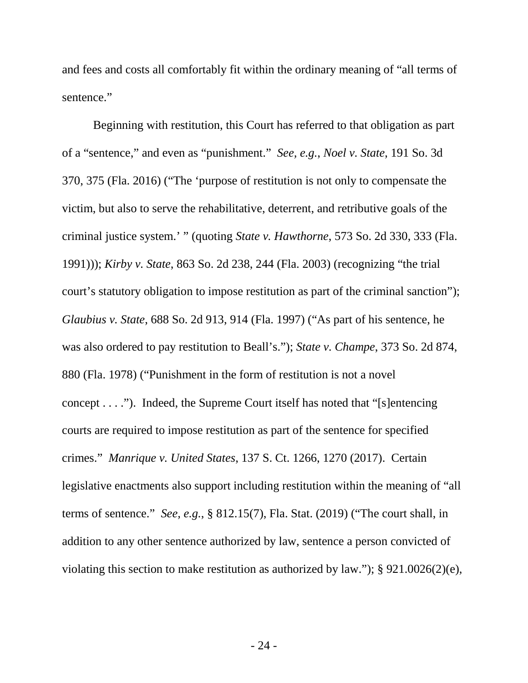and fees and costs all comfortably fit within the ordinary meaning of "all terms of sentence."

Beginning with restitution, this Court has referred to that obligation as part of a "sentence," and even as "punishment." *See, e.g.*, *Noel v. State*, 191 So. 3d 370, 375 (Fla. 2016) ("The 'purpose of restitution is not only to compensate the victim, but also to serve the rehabilitative, deterrent, and retributive goals of the criminal justice system.' " (quoting *State v. Hawthorne*, 573 So. 2d 330, 333 (Fla. 1991))); *Kirby v. State*, 863 So. 2d 238, 244 (Fla. 2003) (recognizing "the trial court's statutory obligation to impose restitution as part of the criminal sanction"); *Glaubius v. State*, 688 So. 2d 913, 914 (Fla. 1997) ("As part of his sentence, he was also ordered to pay restitution to Beall's."); *State v. Champe*, 373 So. 2d 874, 880 (Fla. 1978) ("Punishment in the form of restitution is not a novel concept . . . ."). Indeed, the Supreme Court itself has noted that "[s]entencing courts are required to impose restitution as part of the sentence for specified crimes." *Manrique v. United States*, 137 S. Ct. 1266, 1270 (2017). Certain legislative enactments also support including restitution within the meaning of "all terms of sentence." *See, e.g.*, § 812.15(7), Fla. Stat. (2019) ("The court shall, in addition to any other sentence authorized by law, sentence a person convicted of violating this section to make restitution as authorized by law."); § 921.0026(2)(e),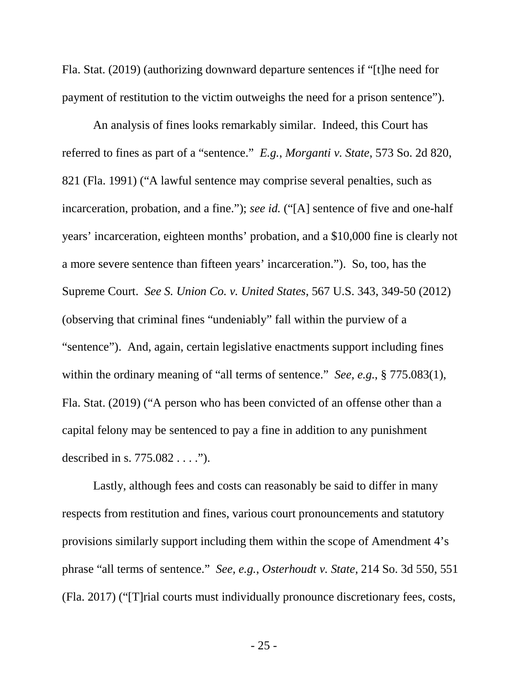Fla. Stat. (2019) (authorizing downward departure sentences if "[t]he need for payment of restitution to the victim outweighs the need for a prison sentence").

An analysis of fines looks remarkably similar. Indeed, this Court has referred to fines as part of a "sentence." *E.g.*, *Morganti v. State*, 573 So. 2d 820, 821 (Fla. 1991) ("A lawful sentence may comprise several penalties, such as incarceration, probation, and a fine."); *see id.* ("[A] sentence of five and one-half years' incarceration, eighteen months' probation, and a \$10,000 fine is clearly not a more severe sentence than fifteen years' incarceration."). So, too, has the Supreme Court. *See S. Union Co. v. United States*, 567 U.S. 343, 349-50 (2012) (observing that criminal fines "undeniably" fall within the purview of a "sentence"). And, again, certain legislative enactments support including fines within the ordinary meaning of "all terms of sentence." *See, e.g.*, § 775.083(1), Fla. Stat. (2019) ("A person who has been convicted of an offense other than a capital felony may be sentenced to pay a fine in addition to any punishment described in s. 775.082 . . . .").

Lastly, although fees and costs can reasonably be said to differ in many respects from restitution and fines, various court pronouncements and statutory provisions similarly support including them within the scope of Amendment 4's phrase "all terms of sentence." *See, e.g.*, *Osterhoudt v. State*, 214 So. 3d 550, 551 (Fla. 2017) ("[T]rial courts must individually pronounce discretionary fees, costs,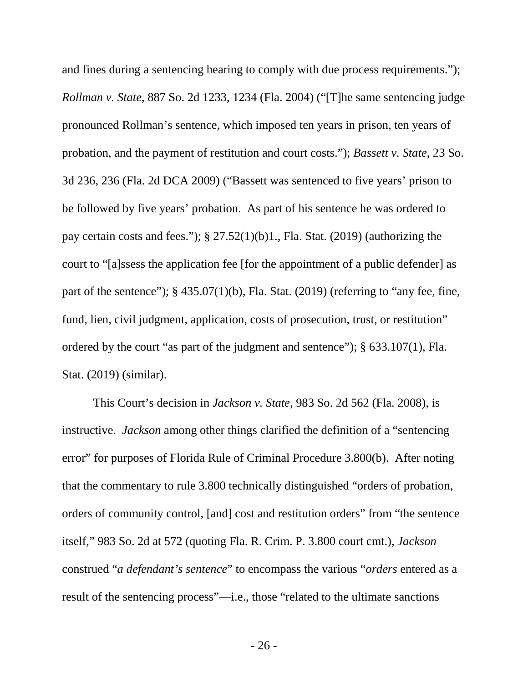and fines during a sentencing hearing to comply with due process requirements."); *Rollman v. State*, 887 So. 2d 1233, 1234 (Fla. 2004) ("[T]he same sentencing judge pronounced Rollman's sentence, which imposed ten years in prison, ten years of probation, and the payment of restitution and court costs."); *Bassett v. State*, 23 So. 3d 236, 236 (Fla. 2d DCA 2009) ("Bassett was sentenced to five years' prison to be followed by five years' probation. As part of his sentence he was ordered to pay certain costs and fees."); § 27.52(1)(b)1., Fla. Stat. (2019) (authorizing the court to "[a]ssess the application fee [for the appointment of a public defender] as part of the sentence");  $\S$  435.07(1)(b), Fla. Stat. (2019) (referring to "any fee, fine, fund, lien, civil judgment, application, costs of prosecution, trust, or restitution" ordered by the court "as part of the judgment and sentence"); § 633.107(1), Fla. Stat. (2019) (similar).

This Court's decision in *Jackson v. State*, 983 So. 2d 562 (Fla. 2008), is instructive. *Jackson* among other things clarified the definition of a "sentencing error" for purposes of Florida Rule of Criminal Procedure 3.800(b). After noting that the commentary to rule 3.800 technically distinguished "orders of probation, orders of community control, [and] cost and restitution orders" from "the sentence itself," 983 So. 2d at 572 (quoting Fla. R. Crim. P. 3.800 court cmt.), *Jackson* construed "*a defendant's sentence*" to encompass the various "*orders* entered as a result of the sentencing process"—i.e., those "related to the ultimate sanctions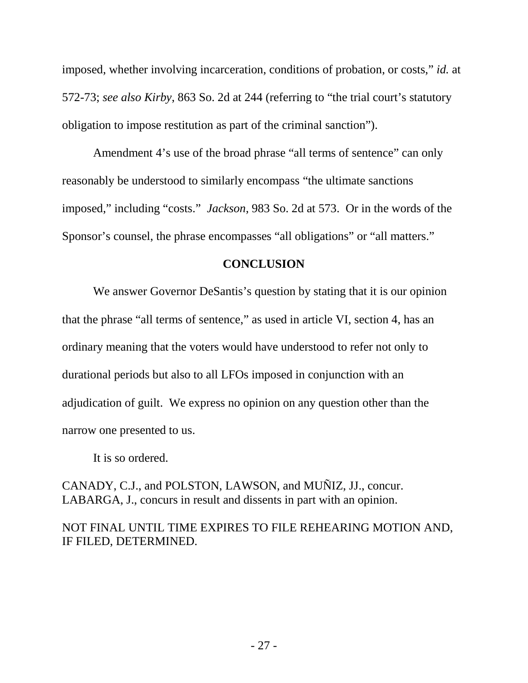imposed, whether involving incarceration, conditions of probation, or costs," *id.* at 572-73; *see also Kirby*, 863 So. 2d at 244 (referring to "the trial court's statutory obligation to impose restitution as part of the criminal sanction").

Amendment 4's use of the broad phrase "all terms of sentence" can only reasonably be understood to similarly encompass "the ultimate sanctions imposed," including "costs." *Jackson*, 983 So. 2d at 573. Or in the words of the Sponsor's counsel, the phrase encompasses "all obligations" or "all matters."

#### **CONCLUSION**

We answer Governor DeSantis's question by stating that it is our opinion that the phrase "all terms of sentence," as used in article VI, section 4, has an ordinary meaning that the voters would have understood to refer not only to durational periods but also to all LFOs imposed in conjunction with an adjudication of guilt. We express no opinion on any question other than the narrow one presented to us.

It is so ordered.

CANADY, C.J., and POLSTON, LAWSON, and MUÑIZ, JJ., concur. LABARGA, J., concurs in result and dissents in part with an opinion.

## NOT FINAL UNTIL TIME EXPIRES TO FILE REHEARING MOTION AND, IF FILED, DETERMINED.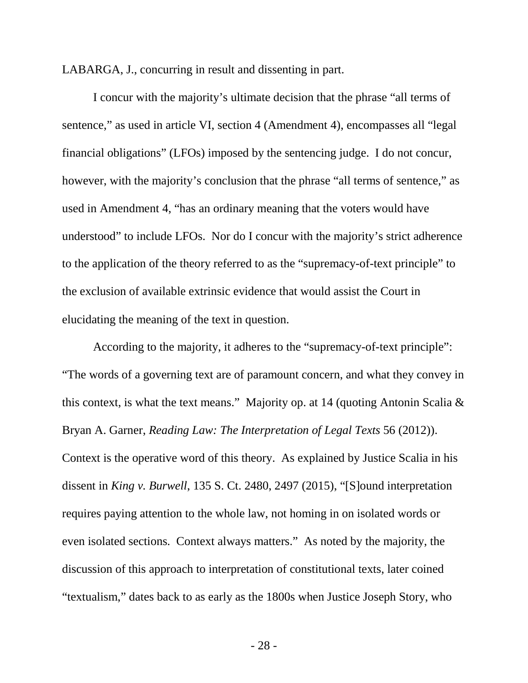LABARGA, J., concurring in result and dissenting in part.

I concur with the majority's ultimate decision that the phrase "all terms of sentence," as used in article VI, section 4 (Amendment 4), encompasses all "legal financial obligations" (LFOs) imposed by the sentencing judge. I do not concur, however, with the majority's conclusion that the phrase "all terms of sentence," as used in Amendment 4, "has an ordinary meaning that the voters would have understood" to include LFOs. Nor do I concur with the majority's strict adherence to the application of the theory referred to as the "supremacy-of-text principle" to the exclusion of available extrinsic evidence that would assist the Court in elucidating the meaning of the text in question.

According to the majority, it adheres to the "supremacy-of-text principle": "The words of a governing text are of paramount concern, and what they convey in this context, is what the text means." Majority op. at 14 (quoting Antonin Scalia & Bryan A. Garner, *Reading Law: The Interpretation of Legal Texts* 56 (2012)). Context is the operative word of this theory. As explained by Justice Scalia in his dissent in *King v. Burwell*, 135 S. Ct. 2480, 2497 (2015), "[S]ound interpretation requires paying attention to the whole law, not homing in on isolated words or even isolated sections. Context always matters." As noted by the majority, the discussion of this approach to interpretation of constitutional texts, later coined "textualism," dates back to as early as the 1800s when Justice Joseph Story, who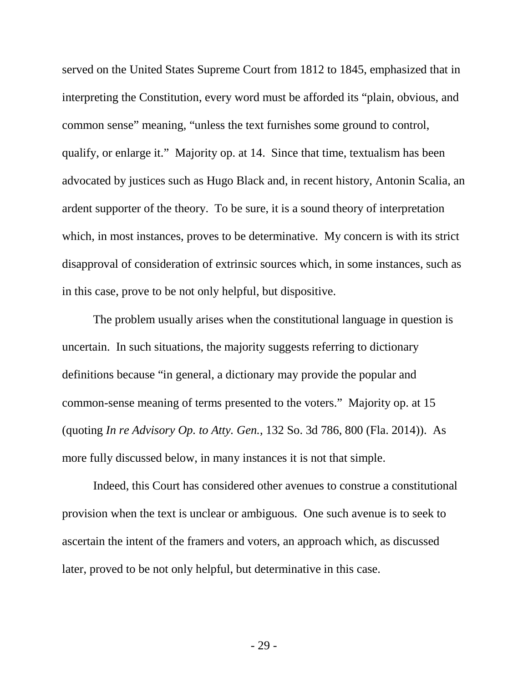served on the United States Supreme Court from 1812 to 1845, emphasized that in interpreting the Constitution, every word must be afforded its "plain, obvious, and common sense" meaning, "unless the text furnishes some ground to control, qualify, or enlarge it." Majority op. at 14. Since that time, textualism has been advocated by justices such as Hugo Black and, in recent history, Antonin Scalia, an ardent supporter of the theory. To be sure, it is a sound theory of interpretation which, in most instances, proves to be determinative. My concern is with its strict disapproval of consideration of extrinsic sources which, in some instances, such as in this case, prove to be not only helpful, but dispositive.

The problem usually arises when the constitutional language in question is uncertain. In such situations, the majority suggests referring to dictionary definitions because "in general, a dictionary may provide the popular and common-sense meaning of terms presented to the voters." Majority op. at 15 (quoting *In re Advisory Op. to Atty. Gen.*, 132 So. 3d 786, 800 (Fla. 2014)). As more fully discussed below, in many instances it is not that simple.

Indeed, this Court has considered other avenues to construe a constitutional provision when the text is unclear or ambiguous. One such avenue is to seek to ascertain the intent of the framers and voters, an approach which, as discussed later, proved to be not only helpful, but determinative in this case.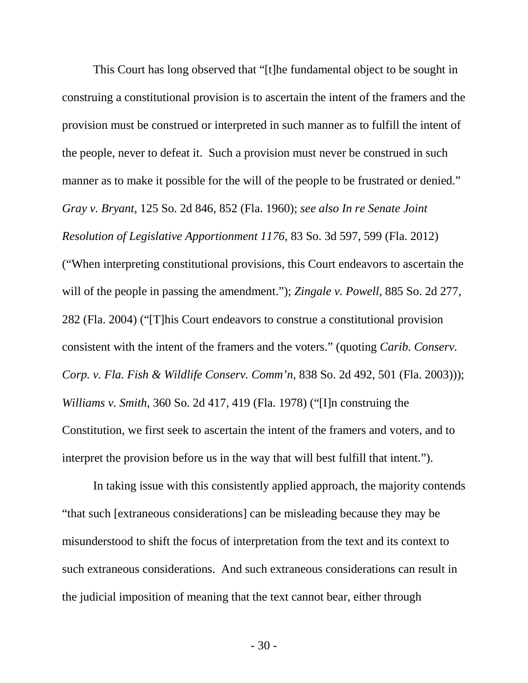This Court has long observed that "[t]he fundamental object to be sought in construing a constitutional provision is to ascertain the intent of the framers and the provision must be construed or interpreted in such manner as to fulfill the intent of the people, never to defeat it. Such a provision must never be construed in such manner as to make it possible for the will of the people to be frustrated or denied." *Gray v. Bryant*, 125 So. 2d 846, 852 (Fla. 1960); *see also In re Senate Joint Resolution of Legislative Apportionment 1176,* 83 So. 3d 597, 599 (Fla. 2012) ("When interpreting constitutional provisions, this Court endeavors to ascertain the will of the people in passing the amendment."); *Zingale v. Powell*, 885 So. 2d 277, 282 (Fla. 2004) ("[T]his Court endeavors to construe a constitutional provision consistent with the intent of the framers and the voters." (quoting *Carib. Conserv. Corp. v. Fla. Fish & Wildlife Conserv. Comm'n*, 838 So. 2d 492, 501 (Fla. 2003))); *Williams v. Smith*, 360 So. 2d 417, 419 (Fla. 1978) ("[I]n construing the Constitution, we first seek to ascertain the intent of the framers and voters, and to interpret the provision before us in the way that will best fulfill that intent.").

In taking issue with this consistently applied approach, the majority contends "that such [extraneous considerations] can be misleading because they may be misunderstood to shift the focus of interpretation from the text and its context to such extraneous considerations. And such extraneous considerations can result in the judicial imposition of meaning that the text cannot bear, either through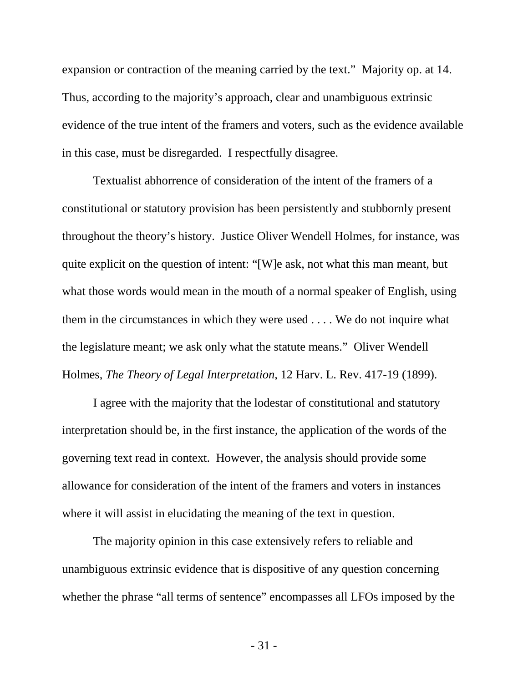expansion or contraction of the meaning carried by the text." Majority op. at 14. Thus, according to the majority's approach, clear and unambiguous extrinsic evidence of the true intent of the framers and voters, such as the evidence available in this case, must be disregarded. I respectfully disagree.

Textualist abhorrence of consideration of the intent of the framers of a constitutional or statutory provision has been persistently and stubbornly present throughout the theory's history. Justice Oliver Wendell Holmes, for instance, was quite explicit on the question of intent: "[W]e ask, not what this man meant, but what those words would mean in the mouth of a normal speaker of English, using them in the circumstances in which they were used . . . . We do not inquire what the legislature meant; we ask only what the statute means." Oliver Wendell Holmes, *The Theory of Legal Interpretation*, 12 Harv. L. Rev. 417-19 (1899).

I agree with the majority that the lodestar of constitutional and statutory interpretation should be, in the first instance, the application of the words of the governing text read in context. However, the analysis should provide some allowance for consideration of the intent of the framers and voters in instances where it will assist in elucidating the meaning of the text in question.

The majority opinion in this case extensively refers to reliable and unambiguous extrinsic evidence that is dispositive of any question concerning whether the phrase "all terms of sentence" encompasses all LFOs imposed by the

- 31 -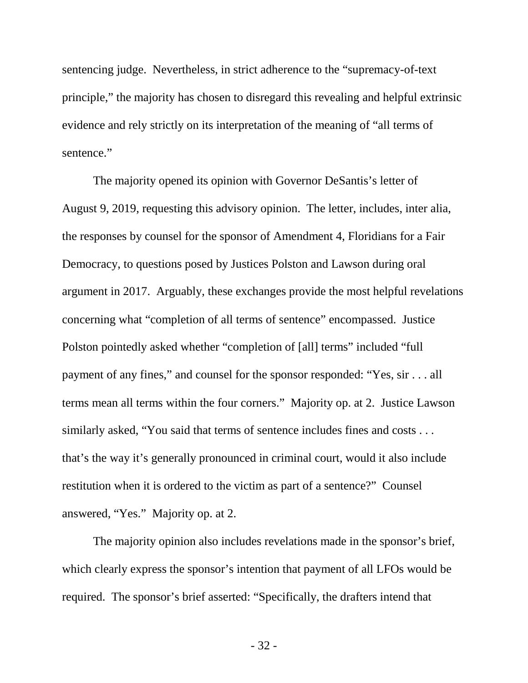sentencing judge. Nevertheless, in strict adherence to the "supremacy-of-text principle," the majority has chosen to disregard this revealing and helpful extrinsic evidence and rely strictly on its interpretation of the meaning of "all terms of sentence."

The majority opened its opinion with Governor DeSantis's letter of August 9, 2019, requesting this advisory opinion. The letter, includes, inter alia, the responses by counsel for the sponsor of Amendment 4, Floridians for a Fair Democracy, to questions posed by Justices Polston and Lawson during oral argument in 2017. Arguably, these exchanges provide the most helpful revelations concerning what "completion of all terms of sentence" encompassed. Justice Polston pointedly asked whether "completion of [all] terms" included "full payment of any fines," and counsel for the sponsor responded: "Yes, sir . . . all terms mean all terms within the four corners." Majority op. at 2. Justice Lawson similarly asked, "You said that terms of sentence includes fines and costs . . . that's the way it's generally pronounced in criminal court, would it also include restitution when it is ordered to the victim as part of a sentence?" Counsel answered, "Yes." Majority op. at 2.

The majority opinion also includes revelations made in the sponsor's brief, which clearly express the sponsor's intention that payment of all LFOs would be required. The sponsor's brief asserted: "Specifically, the drafters intend that

- 32 -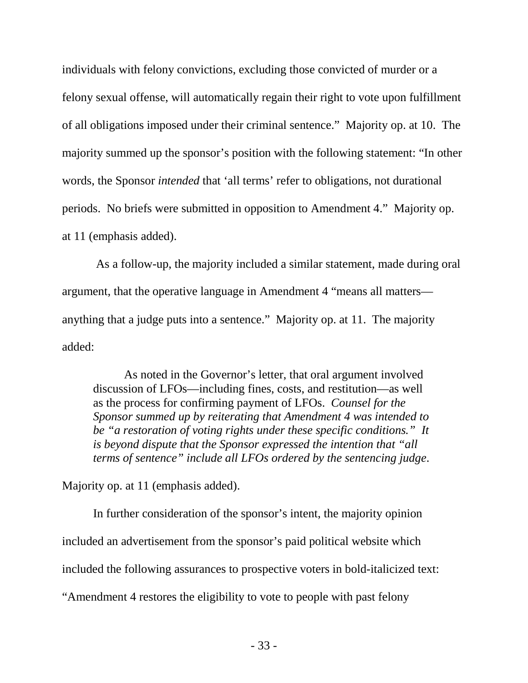individuals with felony convictions, excluding those convicted of murder or a felony sexual offense, will automatically regain their right to vote upon fulfillment of all obligations imposed under their criminal sentence." Majority op. at 10. The majority summed up the sponsor's position with the following statement: "In other words, the Sponsor *intended* that 'all terms' refer to obligations, not durational periods. No briefs were submitted in opposition to Amendment 4." Majority op. at 11 (emphasis added).

As a follow-up, the majority included a similar statement, made during oral argument, that the operative language in Amendment 4 "means all matters anything that a judge puts into a sentence." Majority op. at 11. The majority added:

As noted in the Governor's letter, that oral argument involved discussion of LFOs—including fines, costs, and restitution—as well as the process for confirming payment of LFOs. *Counsel for the Sponsor summed up by reiterating that Amendment 4 was intended to be "a restoration of voting rights under these specific conditions." It is beyond dispute that the Sponsor expressed the intention that "all terms of sentence" include all LFOs ordered by the sentencing judge*.

Majority op. at 11 (emphasis added).

In further consideration of the sponsor's intent, the majority opinion included an advertisement from the sponsor's paid political website which included the following assurances to prospective voters in bold-italicized text: "Amendment 4 restores the eligibility to vote to people with past felony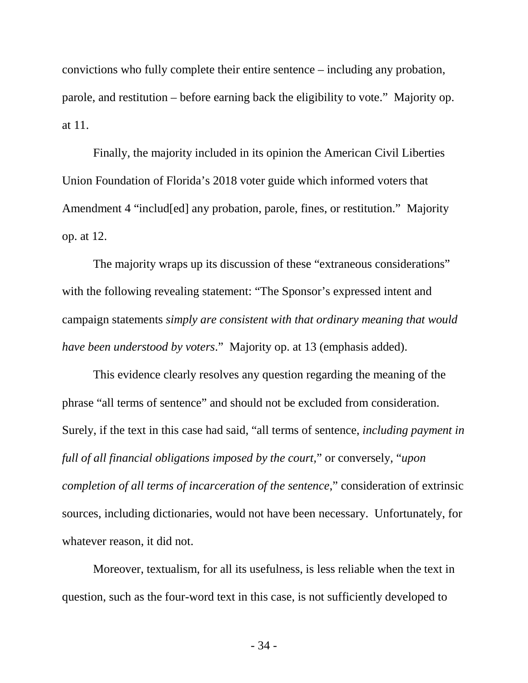convictions who fully complete their entire sentence – including any probation, parole, and restitution – before earning back the eligibility to vote." Majority op. at 11.

Finally, the majority included in its opinion the American Civil Liberties Union Foundation of Florida's 2018 voter guide which informed voters that Amendment 4 "includ[ed] any probation, parole, fines, or restitution." Majority op. at 12.

The majority wraps up its discussion of these "extraneous considerations" with the following revealing statement: "The Sponsor's expressed intent and campaign statements *simply are consistent with that ordinary meaning that would have been understood by voters*." Majority op. at 13 (emphasis added).

This evidence clearly resolves any question regarding the meaning of the phrase "all terms of sentence" and should not be excluded from consideration. Surely, if the text in this case had said, "all terms of sentence, *including payment in full of all financial obligations imposed by the court,*" or conversely, "*upon completion of all terms of incarceration of the sentence*," consideration of extrinsic sources, including dictionaries, would not have been necessary. Unfortunately, for whatever reason, it did not.

Moreover, textualism, for all its usefulness, is less reliable when the text in question, such as the four-word text in this case, is not sufficiently developed to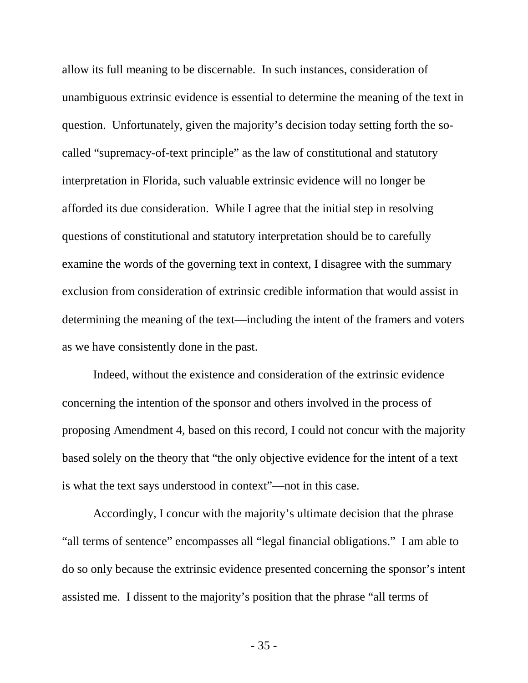allow its full meaning to be discernable. In such instances, consideration of unambiguous extrinsic evidence is essential to determine the meaning of the text in question. Unfortunately, given the majority's decision today setting forth the socalled "supremacy-of-text principle" as the law of constitutional and statutory interpretation in Florida, such valuable extrinsic evidence will no longer be afforded its due consideration. While I agree that the initial step in resolving questions of constitutional and statutory interpretation should be to carefully examine the words of the governing text in context, I disagree with the summary exclusion from consideration of extrinsic credible information that would assist in determining the meaning of the text—including the intent of the framers and voters as we have consistently done in the past.

Indeed, without the existence and consideration of the extrinsic evidence concerning the intention of the sponsor and others involved in the process of proposing Amendment 4, based on this record, I could not concur with the majority based solely on the theory that "the only objective evidence for the intent of a text is what the text says understood in context"—not in this case.

Accordingly, I concur with the majority's ultimate decision that the phrase "all terms of sentence" encompasses all "legal financial obligations." I am able to do so only because the extrinsic evidence presented concerning the sponsor's intent assisted me. I dissent to the majority's position that the phrase "all terms of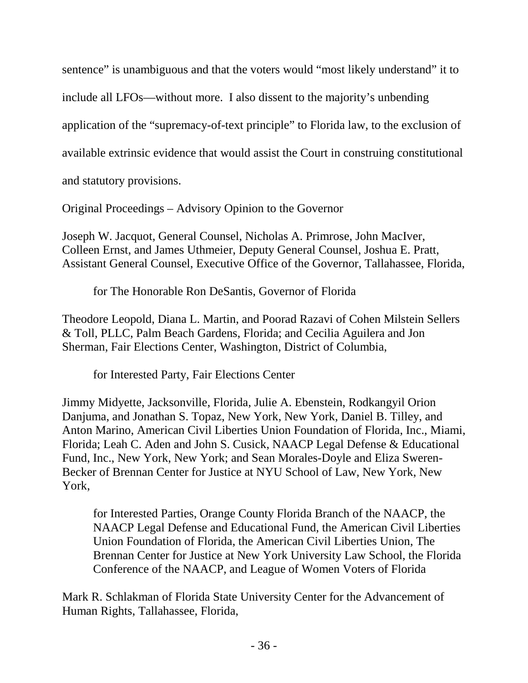sentence" is unambiguous and that the voters would "most likely understand" it to include all LFOs—without more. I also dissent to the majority's unbending application of the "supremacy-of-text principle" to Florida law, to the exclusion of available extrinsic evidence that would assist the Court in construing constitutional and statutory provisions.

Original Proceedings – Advisory Opinion to the Governor

Joseph W. Jacquot, General Counsel, Nicholas A. Primrose, John MacIver, Colleen Ernst, and James Uthmeier, Deputy General Counsel, Joshua E. Pratt, Assistant General Counsel, Executive Office of the Governor, Tallahassee, Florida,

for The Honorable Ron DeSantis, Governor of Florida

Theodore Leopold, Diana L. Martin, and Poorad Razavi of Cohen Milstein Sellers & Toll, PLLC, Palm Beach Gardens, Florida; and Cecilia Aguilera and Jon Sherman, Fair Elections Center, Washington, District of Columbia,

for Interested Party, Fair Elections Center

Jimmy Midyette, Jacksonville, Florida, Julie A. Ebenstein, Rodkangyil Orion Danjuma, and Jonathan S. Topaz, New York, New York, Daniel B. Tilley, and Anton Marino, American Civil Liberties Union Foundation of Florida, Inc., Miami, Florida; Leah C. Aden and John S. Cusick, NAACP Legal Defense & Educational Fund, Inc., New York, New York; and Sean Morales-Doyle and Eliza Sweren-Becker of Brennan Center for Justice at NYU School of Law, New York, New York,

for Interested Parties, Orange County Florida Branch of the NAACP, the NAACP Legal Defense and Educational Fund, the American Civil Liberties Union Foundation of Florida, the American Civil Liberties Union, The Brennan Center for Justice at New York University Law School, the Florida Conference of the NAACP, and League of Women Voters of Florida

Mark R. Schlakman of Florida State University Center for the Advancement of Human Rights, Tallahassee, Florida,